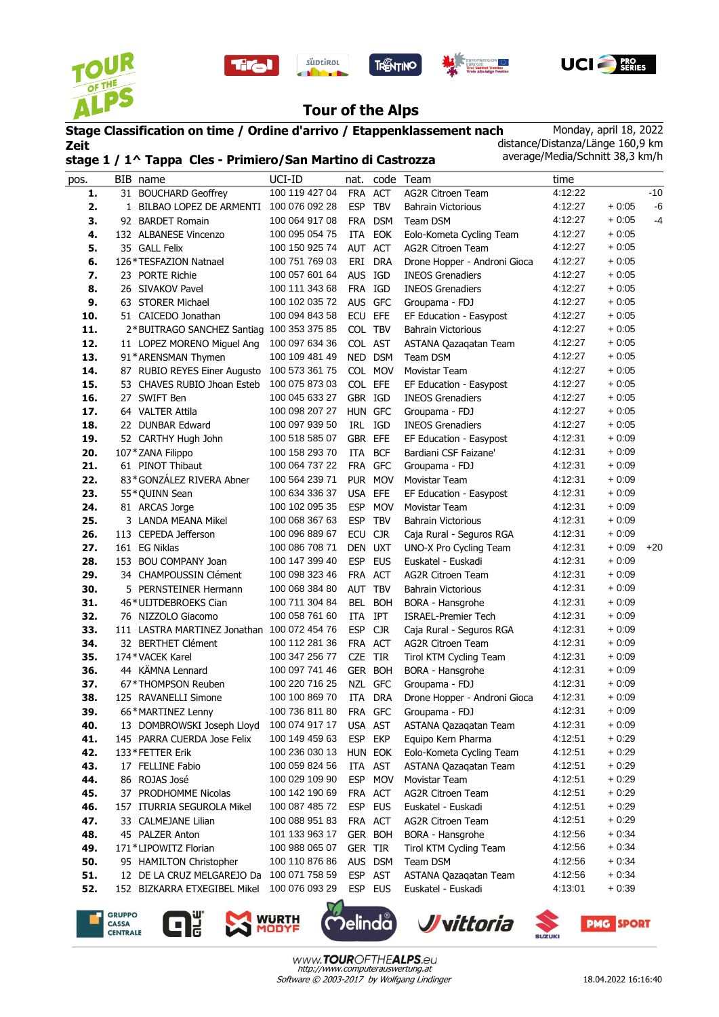









## **Tour of the Alps**

**Stage Classification on time / Ordine d'arrivo / Etappenklassement nach Zeit stage 1 / 1^ Tappa Cles - Primiero/San Martino di Castrozza** Monday, april 18, 2022 distance/Distanza/Länge 160,9 km average/Media/Schnitt 38,3 km/h

| pos. | BIB name                                    | UCI-ID         | nat.       |            | code Team                    | time    |         |       |
|------|---------------------------------------------|----------------|------------|------------|------------------------------|---------|---------|-------|
| 1.   | 31 BOUCHARD Geoffrey                        | 100 119 427 04 | <b>FRA</b> | <b>ACT</b> | <b>AG2R Citroen Team</b>     | 4:12:22 |         | $-10$ |
| 2.   | 1 BILBAO LOPEZ DE ARMENTI                   | 100 076 092 28 | <b>ESP</b> | <b>TBV</b> | <b>Bahrain Victorious</b>    | 4:12:27 | $+0.05$ | -6    |
| 3.   | 92 BARDET Romain                            | 100 064 917 08 | <b>FRA</b> | <b>DSM</b> | Team DSM                     | 4:12:27 | $+0.05$ | -4    |
| 4.   | 132 ALBANESE Vincenzo                       | 100 095 054 75 | ITA        | <b>EOK</b> | Eolo-Kometa Cycling Team     | 4:12:27 | $+0:05$ |       |
| 5.   | 35 GALL Felix                               | 100 150 925 74 | AUT ACT    |            | <b>AG2R Citroen Team</b>     | 4:12:27 | $+0:05$ |       |
| 6.   | 126*TESFAZION Natnael                       | 100 751 769 03 | ERI        | <b>DRA</b> | Drone Hopper - Androni Gioca | 4:12:27 | $+0:05$ |       |
| 7.   | 23 PORTE Richie                             | 100 057 601 64 | AUS IGD    |            | <b>INEOS Grenadiers</b>      | 4:12:27 | $+0.05$ |       |
| 8.   | 26 SIVAKOV Pavel                            | 100 111 343 68 | FRA IGD    |            | <b>INEOS Grenadiers</b>      | 4:12:27 | $+0:05$ |       |
| 9.   | 63 STORER Michael                           | 100 102 035 72 | AUS GFC    |            | Groupama - FDJ               | 4:12:27 | $+0:05$ |       |
| 10.  | 51 CAICEDO Jonathan                         | 100 094 843 58 | ECU        | EFE        | EF Education - Easypost      | 4:12:27 | $+0:05$ |       |
| 11.  | 2*BUITRAGO SANCHEZ Santiag                  | 100 353 375 85 |            | COL TBV    | <b>Bahrain Victorious</b>    | 4:12:27 | $+0:05$ |       |
| 12.  | 11 LOPEZ MORENO Miguel Ang                  | 100 097 634 36 |            | COL AST    | ASTANA Qazaqatan Team        | 4:12:27 | $+0.05$ |       |
| 13.  | 91*ARENSMAN Thymen                          | 100 109 481 49 |            | NED DSM    | Team DSM                     | 4:12:27 | $+0:05$ |       |
| 14.  | 87 RUBIO REYES Einer Augusto                | 100 573 361 75 |            | COL MOV    | <b>Movistar Team</b>         | 4:12:27 | $+0:05$ |       |
| 15.  | 53 CHAVES RUBIO Jhoan Esteb                 | 100 075 873 03 | COL EFE    |            | EF Education - Easypost      | 4:12:27 | $+0:05$ |       |
| 16.  | 27 SWIFT Ben                                | 100 045 633 27 | GBR IGD    |            | <b>INEOS Grenadiers</b>      | 4:12:27 | $+0:05$ |       |
| 17.  | 64 VALTER Attila                            | 100 098 207 27 | <b>HUN</b> | GFC        | Groupama - FDJ               | 4:12:27 | $+0:05$ |       |
| 18.  | 22 DUNBAR Edward                            | 100 097 939 50 | IRL IGD    |            | <b>INEOS Grenadiers</b>      | 4:12:27 | $+0:05$ |       |
| 19.  | 52 CARTHY Hugh John                         | 100 518 585 07 | GBR        | EFE        | EF Education - Easypost      | 4:12:31 | $+0.09$ |       |
| 20.  | 107*ZANA Filippo                            | 100 158 293 70 | ITA        | <b>BCF</b> | Bardiani CSF Faizane'        | 4:12:31 | $+0.09$ |       |
| 21.  | 61 PINOT Thibaut                            | 100 064 737 22 |            | FRA GFC    | Groupama - FDJ               | 4:12:31 | $+0:09$ |       |
| 22.  | 83*GONZÁLEZ RIVERA Abner                    | 100 564 239 71 |            | PUR MOV    | Movistar Team                | 4:12:31 | $+0.09$ |       |
| 23.  | 55*QUINN Sean                               | 100 634 336 37 | USA EFE    |            | EF Education - Easypost      | 4:12:31 | $+0.09$ |       |
| 24.  | 81 ARCAS Jorge                              | 100 102 095 35 | <b>ESP</b> | <b>MOV</b> | Movistar Team                | 4:12:31 | $+0.09$ |       |
| 25.  | 3 LANDA MEANA Mikel                         | 100 068 367 63 | <b>ESP</b> | <b>TBV</b> | <b>Bahrain Victorious</b>    | 4:12:31 | $+0.09$ |       |
| 26.  | 113 CEPEDA Jefferson                        | 100 096 889 67 | ECU        | <b>CJR</b> | Caja Rural - Seguros RGA     | 4:12:31 | $+0.09$ |       |
| 27.  | 161 EG Niklas                               | 100 086 708 71 | <b>DEN</b> | <b>UXT</b> | UNO-X Pro Cycling Team       | 4:12:31 | $+0.09$ | $+20$ |
| 28.  | 153 BOU COMPANY Joan                        | 100 147 399 40 | <b>ESP</b> | <b>EUS</b> | Euskatel - Euskadi           | 4:12:31 | $+0.09$ |       |
| 29.  | 34 CHAMPOUSSIN Clément                      | 100 098 323 46 |            | FRA ACT    | <b>AG2R Citroen Team</b>     | 4:12:31 | $+0.09$ |       |
| 30.  | 5 PERNSTEINER Hermann                       | 100 068 384 80 | AUT TBV    |            | <b>Bahrain Victorious</b>    | 4:12:31 | $+0:09$ |       |
| 31.  | 46*UIJTDEBROEKS Cian                        | 100 711 304 84 | BEL        | <b>BOH</b> | BORA - Hansgrohe             | 4:12:31 | $+0.09$ |       |
| 32.  | 76 NIZZOLO Giacomo                          | 100 058 761 60 | <b>ITA</b> | IPT        | <b>ISRAEL-Premier Tech</b>   | 4:12:31 | $+0.09$ |       |
| 33.  | 111 LASTRA MARTINEZ Jonathan 100 072 454 76 |                | <b>ESP</b> | <b>CJR</b> | Caja Rural - Seguros RGA     | 4:12:31 | $+0.09$ |       |
| 34.  | 32 BERTHET Clément                          | 100 112 281 36 | FRA        | <b>ACT</b> | <b>AG2R Citroen Team</b>     | 4:12:31 | $+0.09$ |       |
| 35.  | 174*VACEK Karel                             | 100 347 256 77 | CZE        | TIR        | Tirol KTM Cycling Team       | 4:12:31 | $+0.09$ |       |
| 36.  | 44 KÄMNA Lennard                            | 100 097 741 46 | GER        | <b>BOH</b> | BORA - Hansgrohe             | 4:12:31 | $+0.09$ |       |
| 37.  | 67*THOMPSON Reuben                          | 100 220 716 25 | NZL        | <b>GFC</b> | Groupama - FDJ               | 4:12:31 | $+0.09$ |       |
| 38.  | 125 RAVANELLI Simone                        | 100 100 869 70 | ITA        | <b>DRA</b> | Drone Hopper - Androni Gioca | 4:12:31 | $+0:09$ |       |
| 39.  | 66*MARTINEZ Lenny                           | 100 736 811 80 |            | FRA GFC    | Groupama - FDJ               | 4:12:31 | $+0.09$ |       |
| 40.  | 13 DOMBROWSKI Joseph Lloyd                  | 100 074 917 17 |            | USA AST    | ASTANA Qazaqatan Team        | 4:12:31 | $+0.09$ |       |
| 41.  | 145 PARRA CUERDA Jose Felix                 | 100 149 459 63 |            | ESP EKP    | Equipo Kern Pharma           | 4:12:51 | $+0.29$ |       |
| 42.  | 133*FETTER Erik                             | 100 236 030 13 |            | HUN EOK    | Eolo-Kometa Cycling Team     | 4:12:51 | $+0.29$ |       |
| 43.  | 17 FELLINE Fabio                            | 100 059 824 56 |            | ITA AST    | ASTANA Qazaqatan Team        | 4:12:51 | $+0.29$ |       |
| 44.  | 86 ROJAS José                               | 100 029 109 90 | ESP        | <b>MOV</b> | Movistar Team                | 4:12:51 | $+0.29$ |       |
| 45.  | 37 PRODHOMME Nicolas                        | 100 142 190 69 |            | FRA ACT    | <b>AG2R Citroen Team</b>     | 4:12:51 | $+0.29$ |       |
| 46.  | 157 ITURRIA SEGUROLA Mikel                  | 100 087 485 72 |            | ESP EUS    | Euskatel - Euskadi           | 4:12:51 | $+0.29$ |       |
| 47.  | 33 CALMEJANE Lilian                         | 100 088 951 83 |            | FRA ACT    | <b>AG2R Citroen Team</b>     | 4:12:51 | $+0.29$ |       |
| 48.  | 45 PALZER Anton                             | 101 133 963 17 |            | GER BOH    | BORA - Hansgrohe             | 4:12:56 | $+0.34$ |       |
| 49.  | 171*LIPOWITZ Florian                        | 100 988 065 07 | GER TIR    |            | Tirol KTM Cycling Team       | 4:12:56 | $+0.34$ |       |
| 50.  | 95 HAMILTON Christopher                     | 100 110 876 86 |            | AUS DSM    | Team DSM                     | 4:12:56 | $+0.34$ |       |
| 51.  | 12 DE LA CRUZ MELGAREJO Da                  | 100 071 758 59 |            | ESP AST    | ASTANA Qazaqatan Team        | 4:12:56 | $+0:34$ |       |
| 52.  | 152 BIZKARRA ETXEGIBEL Mikel                | 100 076 093 29 |            | ESP EUS    | Euskatel - Euskadi           | 4:13:01 | $+0:39$ |       |
|      |                                             |                |            |            |                              |         |         |       |











www.TOUROFTHEALPS.eu http://www.computerauswertung.at Software © 2003-2017 by Wolfgang Lindinger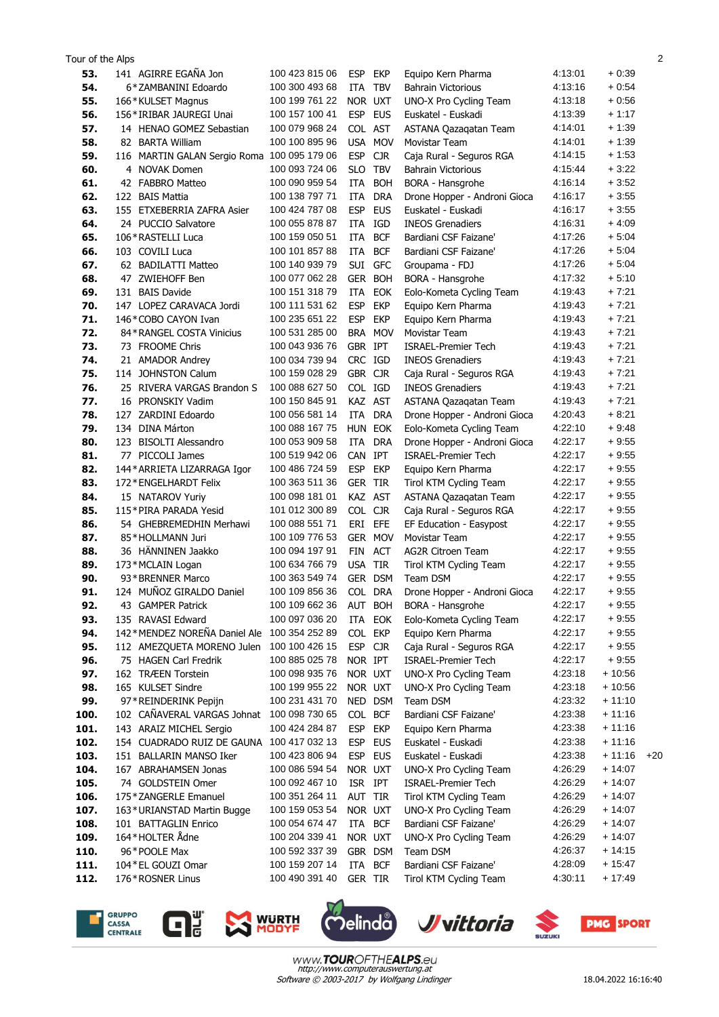| Tour of the Alps |                                                     |                                  |                                        |                                                        |                    |                    | $\overline{2}$ |
|------------------|-----------------------------------------------------|----------------------------------|----------------------------------------|--------------------------------------------------------|--------------------|--------------------|----------------|
| 53.              | 141 AGIRRE EGAÑA Jon                                | 100 423 815 06                   | <b>ESP</b><br>EKP                      | Equipo Kern Pharma                                     | 4:13:01            | $+0.39$            |                |
| 54.              | 6*ZAMBANINI Edoardo                                 | 100 300 493 68                   | ITA<br><b>TBV</b>                      | <b>Bahrain Victorious</b>                              | 4:13:16            | $+0.54$            |                |
| 55.              | 166*KULSET Magnus                                   | 100 199 761 22                   | NOR UXT                                | UNO-X Pro Cycling Team                                 | 4:13:18            | $+0.56$            |                |
| 56.              | 156*IRIBAR JAUREGI Unai                             | 100 157 100 41                   | <b>ESP</b><br><b>EUS</b>               | Euskatel - Euskadi                                     | 4:13:39            | $+1:17$            |                |
| 57.              | 14 HENAO GOMEZ Sebastian                            | 100 079 968 24                   | COL AST                                | ASTANA Qazaqatan Team                                  | 4:14:01            | $+1:39$            |                |
| 58.              | 82 BARTA William                                    | 100 100 895 96                   | <b>USA</b>                             | <b>MOV</b><br>Movistar Team                            | 4:14:01            | $+1:39$            |                |
| 59.              | 116 MARTIN GALAN Sergio Roma 100 095 179 06         |                                  | <b>ESP</b><br><b>CJR</b>               | Caja Rural - Seguros RGA                               | 4:14:15            | $+1:53$            |                |
| 60.              | 4 NOVAK Domen                                       | 100 093 724 06                   | <b>TBV</b><br><b>SLO</b>               | <b>Bahrain Victorious</b>                              | 4:15:44            | $+3:22$            |                |
| 61.              | 42 FABBRO Matteo                                    | 100 090 959 54                   | <b>ITA</b><br><b>BOH</b>               | BORA - Hansgrohe                                       | 4:16:14            | $+3:52$            |                |
| 62.              | 122 BAIS Mattia                                     | 100 138 797 71                   | ITA<br><b>DRA</b>                      | Drone Hopper - Androni Gioca                           | 4:16:17<br>4:16:17 | $+3.55$            |                |
| 63.              | 155 ETXEBERRIA ZAFRA Asier                          | 100 424 787 08<br>100 055 878 87 | <b>ESP</b><br><b>EUS</b>               | Euskatel - Euskadi                                     |                    | $+3.55$<br>$+4.09$ |                |
| 64.<br>65.       | 24 PUCCIO Salvatore<br>106*RASTELLI Luca            | 100 159 050 51                   | IGD<br>ITA<br><b>ITA</b><br><b>BCF</b> | <b>INEOS Grenadiers</b><br>Bardiani CSF Faizane'       | 4:16:31<br>4:17:26 | $+5.04$            |                |
| 66.              | 103 COVILI Luca                                     | 100 101 857 88                   | ITA<br><b>BCF</b>                      | Bardiani CSF Faizane'                                  | 4:17:26            | $+5.04$            |                |
| 67.              | 62 BADILATTI Matteo                                 | 100 140 939 79                   | SUI GFC                                | Groupama - FDJ                                         | 4:17:26            | $+5.04$            |                |
| 68.              | 47 ZWIEHOFF Ben                                     | 100 077 062 28                   | GER BOH                                | BORA - Hansgrohe                                       | 4:17:32            | $+5:10$            |                |
| 69.              | 131 BAIS Davide                                     | 100 151 318 79                   | ITA<br><b>EOK</b>                      | Eolo-Kometa Cycling Team                               | 4:19:43            | $+7:21$            |                |
| 70.              | 147 LOPEZ CARAVACA Jordi                            | 100 111 531 62                   | <b>ESP</b><br><b>EKP</b>               | Equipo Kern Pharma                                     | 4:19:43            | $+7:21$            |                |
| 71.              | 146*COBO CAYON Ivan                                 | 100 235 651 22                   | <b>ESP</b><br><b>EKP</b>               | Equipo Kern Pharma                                     | 4:19:43            | $+7:21$            |                |
| 72.              | 84 * RANGEL COSTA Vinicius                          | 100 531 285 00                   | BRA MOV                                | Movistar Team                                          | 4:19:43            | $+7:21$            |                |
| 73.              | 73 FROOME Chris                                     | 100 043 936 76                   | GBR IPT                                | <b>ISRAEL-Premier Tech</b>                             | 4:19:43            | $+7:21$            |                |
| 74.              | 21 AMADOR Andrey                                    | 100 034 739 94                   | CRC IGD                                | <b>INEOS Grenadiers</b>                                | 4:19:43            | $+7:21$            |                |
| 75.              | 114 JOHNSTON Calum                                  | 100 159 028 29                   | GBR CJR                                | Caja Rural - Seguros RGA                               | 4:19:43            | $+7:21$            |                |
| 76.              | 25 RIVERA VARGAS Brandon S                          | 100 088 627 50                   | COL IGD                                | <b>INEOS Grenadiers</b>                                | 4:19:43            | $+7:21$            |                |
| 77.              | 16 PRONSKIY Vadim                                   | 100 150 845 91                   | KAZ AST                                | ASTANA Qazaqatan Team                                  | 4:19:43            | $+7:21$            |                |
| 78.              | 127 ZARDINI Edoardo                                 | 100 056 581 14                   | ITA<br><b>DRA</b>                      | Drone Hopper - Androni Gioca                           | 4:20:43            | $+8:21$            |                |
| 79.              | 134 DINA Márton                                     | 100 088 167 75                   | HUN EOK                                | Eolo-Kometa Cycling Team                               | 4:22:10            | $+9.48$            |                |
| 80.              | 123 BISOLTI Alessandro                              | 100 053 909 58                   | <b>DRA</b><br>ITA                      | Drone Hopper - Androni Gioca                           | 4:22:17            | $+9.55$            |                |
| 81.              | 77 PICCOLI James                                    | 100 519 942 06                   | CAN IPT                                | <b>ISRAEL-Premier Tech</b>                             | 4:22:17            | $+9.55$            |                |
| 82.              | 144* ARRIETA LIZARRAGA Igor                         | 100 486 724 59                   | <b>ESP</b><br><b>EKP</b>               | Equipo Kern Pharma                                     | 4:22:17            | $+9.55$            |                |
| 83.              | 172*ENGELHARDT Felix                                | 100 363 511 36                   | <b>GER</b><br>TIR                      | Tirol KTM Cycling Team                                 | 4:22:17            | $+9:55$            |                |
| 84.              | 15 NATAROV Yuriy                                    | 100 098 181 01                   | KAZ AST                                | ASTANA Qazaqatan Team                                  | 4:22:17            | $+9.55$            |                |
| 85.              | 115*PIRA PARADA Yesid                               | 101 012 300 89                   | COL CJR                                | Caja Rural - Seguros RGA                               | 4:22:17            | $+9.55$            |                |
| 86.              | 54 GHEBREMEDHIN Merhawi                             | 100 088 551 71                   | EFE<br>eri                             | EF Education - Easypost                                | 4:22:17            | $+9.55$            |                |
| 87.              | 85*HOLLMANN Juri                                    | 100 109 776 53                   | GER MOV                                | <b>Movistar Team</b>                                   | 4:22:17            | $+9.55$            |                |
| 88.              | 36 HÄNNINEN Jaakko                                  | 100 094 197 91                   | FIN<br>ACT                             | <b>AG2R Citroen Team</b>                               | 4:22:17            | $+9.55$            |                |
| 89.              | 173*MCLAIN Logan                                    | 100 634 766 79                   | USA TIR                                | Tirol KTM Cycling Team                                 | 4:22:17            | $+9.55$            |                |
| 90.              | 93 * BRENNER Marco                                  | 100 363 549 74                   | GER DSM                                | Team DSM                                               | 4:22:17            | $+9.55$            |                |
| 91.              | 124 MUNOZ GIRALDO Daniel                            | 100 109 856 36                   | COL.<br><b>DRA</b>                     | Drone Hopper - Androni Gioca                           | 4:22:17            | $+9:55$            |                |
| 92.              | 43 GAMPER Patrick                                   | 100 109 662 36                   | AUT BOH                                | BORA - Hansgrohe                                       | 4:22:17            | $+9.55$            |                |
| 93.              | 135 RAVASI Edward<br>142*MENDEZ NOREÑA Daniel Ale   | 100 097 036 20<br>100 354 252 89 | ITA<br>EOK                             | Eolo-Kometa Cycling Team                               | 4:22:17            | $+9:55$            |                |
| 94.<br>95.       |                                                     | 100 100 426 15                   | COL EKP<br>ESP CJR                     | Equipo Kern Pharma                                     | 4:22:17<br>4:22:17 | $+9:55$<br>$+9:55$ |                |
| 96.              | 112 AMEZQUETA MORENO Julen<br>75 HAGEN Carl Fredrik | 100 885 025 78                   | NOR IPT                                | Caja Rural - Seguros RGA<br><b>ISRAEL-Premier Tech</b> | 4:22:17            | $+9.55$            |                |
| 97.              | 162 TRÆEN Torstein                                  | 100 098 935 76                   | NOR UXT                                | UNO-X Pro Cycling Team                                 | 4:23:18            | $+10:56$           |                |
| 98.              | 165 KULSET Sindre                                   | 100 199 955 22                   | NOR UXT                                | UNO-X Pro Cycling Team                                 | 4:23:18            | $+10:56$           |                |
| 99.              | 97*REINDERINK Pepijn                                | 100 231 431 70                   | NED DSM                                | Team DSM                                               | 4:23:32            | $+11:10$           |                |
| 100.             | 102 CAÑAVERAL VARGAS Johnat                         | 100 098 730 65                   | COL BCF                                | Bardiani CSF Faizane'                                  | 4:23:38            | $+11:16$           |                |
| 101.             | 143 ARAIZ MICHEL Sergio                             | 100 424 284 87                   | <b>ESP</b><br><b>EKP</b>               | Equipo Kern Pharma                                     | 4:23:38            | $+11:16$           |                |
| 102.             | 154 CUADRADO RUIZ DE GAUNA                          | 100 417 032 13                   | <b>ESP</b><br><b>EUS</b>               | Euskatel - Euskadi                                     | 4:23:38            | $+11:16$           |                |
| 103.             | 151 BALLARIN MANSO Iker                             | 100 423 806 94                   | <b>ESP</b><br><b>EUS</b>               | Euskatel - Euskadi                                     | 4:23:38            | $+11:16$           | $+20$          |
| 104.             | 167 ABRAHAMSEN Jonas                                | 100 086 594 54                   | NOR UXT                                | UNO-X Pro Cycling Team                                 | 4:26:29            | $+14:07$           |                |
| 105.             | 74 GOLDSTEIN Omer                                   | 100 092 467 10                   | ISR IPT                                | <b>ISRAEL-Premier Tech</b>                             | 4:26:29            | + 14:07            |                |
| 106.             | 175*ZANGERLE Emanuel                                | 100 351 264 11                   | AUT TIR                                | Tirol KTM Cycling Team                                 | 4:26:29            | $+14:07$           |                |
| 107.             | 163*URIANSTAD Martin Bugge                          | 100 159 053 54                   | NOR UXT                                | UNO-X Pro Cycling Team                                 | 4:26:29            | $+14:07$           |                |
| 108.             | 101 BATTAGLIN Enrico                                | 100 054 674 47                   | ITA BCF                                | Bardiani CSF Faizane'                                  | 4:26:29            | $+14:07$           |                |
| 109.             | 164*HOLTER Ådne                                     | 100 204 339 41                   | NOR UXT                                | UNO-X Pro Cycling Team                                 | 4:26:29            | $+14:07$           |                |
| 110.             | 96*POOLE Max                                        | 100 592 337 39                   | GBR DSM                                | Team DSM                                               | 4:26:37            | $+14:15$           |                |
| 111.             | 104 * EL GOUZI Omar                                 | 100 159 207 14                   | <b>BCF</b><br>ITA                      | Bardiani CSF Faizane'                                  | 4:28:09            | $+15:47$           |                |
| 112.             | 176*ROSNER Linus                                    | 100 490 391 40                   | GER TIR                                | Tirol KTM Cycling Team                                 | 4:30:11            | $+17:49$           |                |
|                  |                                                     |                                  |                                        |                                                        |                    |                    |                |







 $\overline{\mathsf{C}}$ 

 $\mathcal{\tilde{D}}$ elinda



18.04.2022 16:16:40